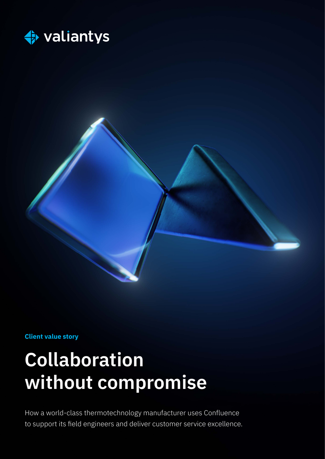



**Client value story**

# **Collaboration without compromise**

How a world-class thermotechnology manufacturer uses Confluence to support its field engineers and deliver customer service excellence.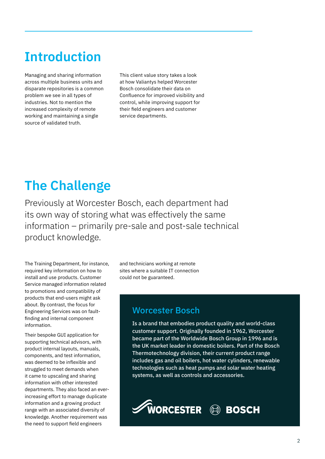# **Introduction**

Managing and sharing information across multiple business units and disparate repositories is a common problem we see in all types of industries. Not to mention the increased complexity of remote working and maintaining a single source of validated truth.

This client value story takes a look at how Valiantys helped Worcester Bosch consolidate their data on Confluence for improved visibility and control, while improving support for their field engineers and customer service departments.

## **The Challenge**

Previously at Worcester Bosch, each department had its own way of storing what was effectively the same information – primarily pre-sale and post-sale technical product knowledge.

The Training Department, for instance, required key information on how to install and use products. Customer Service managed information related to promotions and compatibility of products that end-users might ask about. By contrast, the focus for Engineering Services was on faultfinding and internal component information.

Their bespoke GUI application for supporting technical advisors, with product internal layouts, manuals, components, and test information, was deemed to be inflexible and struggled to meet demands when it came to upscaling and sharing information with other interested departments. They also faced an everincreasing effort to manage duplicate information and a growing product range with an associated diversity of knowledge. Another requirement was the need to support field engineers

and technicians working at remote sites where a suitable IT connection could not be guaranteed.

### Worcester Bosch

Is a brand that embodies product quality and world-class customer support. Originally founded in 1962, Worcester became part of the Worldwide Bosch Group in 1996 and is the UK market leader in domestic boilers. Part of the Bosch Thermotechnology division, their current product range includes gas and oil boilers, hot water cylinders, renewable technologies such as heat pumps and solar water heating systems, as well as controls and accessories.

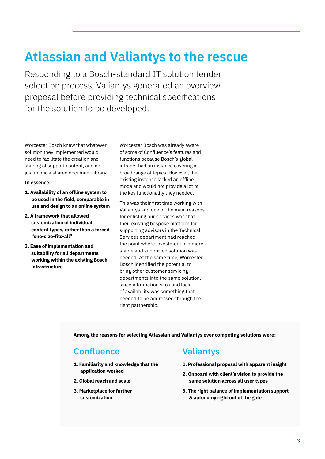### **Atlassian and Valiantys to the rescue**

Responding to a Bosch-standard IT solution tender selection process, Valiantys generated an overview proposal before providing technical specifications for the solution to be developed.

Worcester Bosch knew that whatever solution they implemented would need to facilitate the creation and sharing of support content, and not just mimic a shared document library.

#### **In essence:**

- **1. Availability of an offline system to be used in the field, comparable in use and design to an online system**
- **2. A framework that allowed customization of individual content types, rather than a forced "one-size-fits-all"**
- **3. Ease of implementation and suitability for all departments working within the existing Bosch infrastructure**

Worcester Bosch was already aware of some of Confluence's features and functions because Bosch's global intranet had an instance covering a broad range of topics. However, the existing instance lacked an offline mode and would not provide a lot of the key functionality they needed.

This was their first time working with Valiantys and one of the main reasons for enlisting our services was that their existing bespoke platform for supporting advisors in the Technical Services department had reached the point where investment in a more stable and supported solution was needed. At the same time, Worcester Bosch identified the potential to bring other customer servicing departments into the same solution, since information silos and lack of availability was something that needed to be addressed through the right partnership.

**Among the reasons for selecting Atlassian and Valiantys over competing solutions were:**

### **Confluence**

- **1. Familiarity and knowledge that the application worked**
- **2. Global reach and scale**
- **3. Marketplace for further customization**

### Valiantys

- **1. Professional proposal with apparent insight**
- **2. Onboard with client's vision to provide the same solution across all user types**
- **3. The right balance of implementation support & autonomy right out of the gate**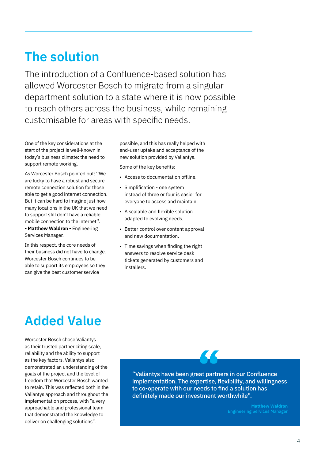### **The solution**

The introduction of a Confluence-based solution has allowed Worcester Bosch to migrate from a singular department solution to a state where it is now possible to reach others across the business, while remaining customisable for areas with specific needs.

One of the key considerations at the start of the project is well-known in today's business climate: the need to support remote working.

As Worcester Bosch pointed out: ''We are lucky to have a robust and secure remote connection solution for those able to get a good internet connection. But it can be hard to imagine just how many locations in the UK that we need to support still don't have a reliable mobile connection to the internet''. **- Matthew Waldron -** Engineering Services Manager.

In this respect, the core needs of their business did not have to change. Worcester Bosch continues to be able to support its employees so they can give the best customer service

possible, and this has really helped with end-user uptake and acceptance of the new solution provided by Valiantys.

Some of the key benefits:

- Access to documentation offline.
- Simplification one system instead of three or four is easier for everyone to access and maintain.
- A scalable and flexible solution adapted to evolving needs.
- Better control over content approval and new documentation.
- Time savings when finding the right answers to resolve service desk tickets generated by customers and installers.

### **Added Value**

Worcester Bosch chose Valiantys as their trusted partner citing scale, reliability and the ability to support as the key factors. Valiantys also demonstrated an understanding of the goals of the project and the level of freedom that Worcester Bosch wanted to retain. This was reflected both in the Valiantys approach and throughout the implementation process, with "a very approachable and professional team that demonstrated the knowledge to deliver on challenging solutions".

"Valiantys have been great partners in our Confluence implementation. The expertise, flexibility, and willingness to co-operate with our needs to find a solution has definitely made our investment worthwhile". **ext**<br>**Pat** partn<br>**pertise, f**<br>**eeds** to f

**Matthew Waldron**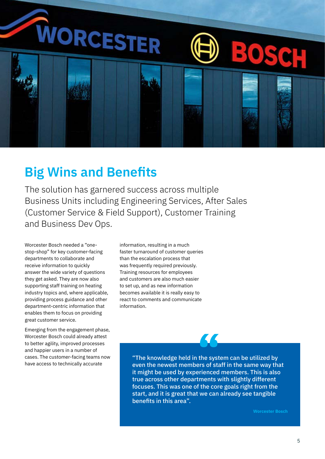

### **Big Wins and Benefits**

The solution has garnered success across multiple Business Units including Engineering Services, After Sales (Customer Service & Field Support), Customer Training and Business Dev Ops.

Worcester Bosch needed a "onestop-shop" for key customer-facing departments to collaborate and receive information to quickly answer the wide variety of questions they get asked. They are now also supporting staff training on heating industry topics and, where applicable, providing process guidance and other department-centric information that enables them to focus on providing great customer service.

Emerging from the engagement phase, Worcester Bosch could already attest to better agility, improved processes and happier users in a number of cases. The customer-facing teams now have access to technically accurate

information, resulting in a much faster turnaround of customer queries than the escalation process that was frequently required previously. Training resources for employees and customers are also much easier to set up, and as new information becomes available it is really easy to react to comments and communicate information.

> "The knowledge held in the system can be utilized by even the newest members of staff in the same way that it might be used by experienced members. This is also true across other departments with slightly different focuses. This was one of the core goals right from the start, and it is great that we can already see tangible benefits in this area". **the syst**<br>ers of sta<br>erienced

> > **Worcester Bosch**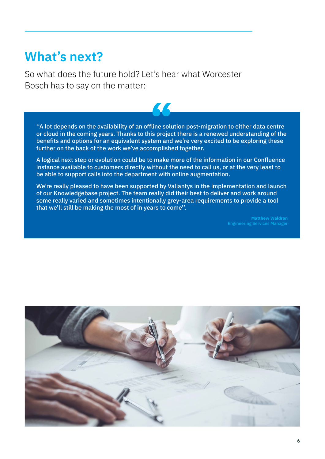### **What's next?**

So what does the future hold? Let's hear what Worcester Bosch has to say on the matter:

''A lot depends on the availability of an offline solution post-migration to either data centre or cloud in the coming years. Thanks to this project there is a renewed understanding of the benefits and options for an equivalent system and we're very excited to be exploring these further on the back of the work we've accomplished together. fline solu<br>is projection<br>tem and

A logical next step or evolution could be to make more of the information in our Confluence instance available to customers directly without the need to call us, or at the very least to be able to support calls into the department with online augmentation.

We're really pleased to have been supported by Valiantys in the implementation and launch of our Knowledgebase project. The team really did their best to deliver and work around some really varied and sometimes intentionally grey-area requirements to provide a tool that we'll still be making the most of in years to come''.

**Matthew Waldron**